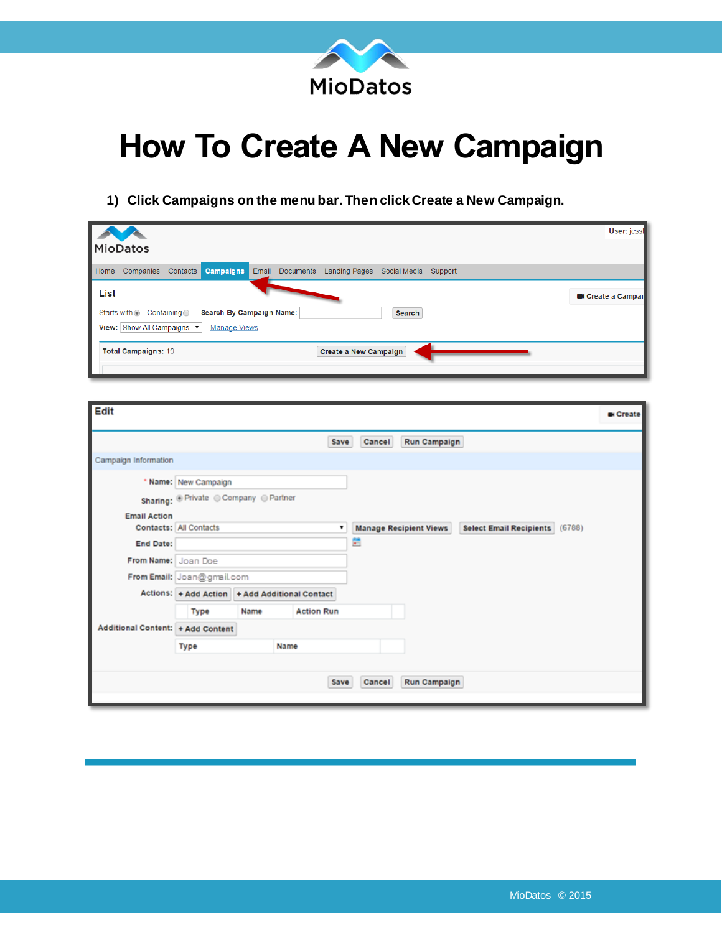

## **How To Create A New Campaign**

## **1) Click Campaigns on the menu bar. Then click Create a New Campaign.**

|      | <b>MioDatos</b>                                      |                    |                                                 |                 |                       |               |         | User: jesst            |
|------|------------------------------------------------------|--------------------|-------------------------------------------------|-----------------|-----------------------|---------------|---------|------------------------|
| Home | Companies                                            | Contacts           | Campaigns                                       | Email Documents | <b>Landing Pages</b>  | Social Media  | Support |                        |
| List | Starts with <sup>®</sup><br>View: Show All Campaigns | Containing $\odot$ | Search By Campaign Name:<br><b>Manage Views</b> |                 |                       | <b>Search</b> |         | <b>Create a Campai</b> |
|      | <b>Total Campaigns: 19</b>                           |                    |                                                 |                 | Create a New Campaign |               |         |                        |

| <b>Edit</b>                       |                                   |      |                                                |        |                               |                                | <b>B</b> i Create |
|-----------------------------------|-----------------------------------|------|------------------------------------------------|--------|-------------------------------|--------------------------------|-------------------|
|                                   |                                   |      | Save                                           | Cancel | <b>Run Campaign</b>           |                                |                   |
| Campaign Information              |                                   |      |                                                |        |                               |                                |                   |
|                                   | * Name: New Campaign              |      |                                                |        |                               |                                |                   |
|                                   | Sharing: Private Company OPartner |      |                                                |        |                               |                                |                   |
| <b>Email Action</b>               | Contacts: All Contacts            |      |                                                |        | <b>Manage Recipient Views</b> | Select Email Recipients (6788) |                   |
| End Date:                         |                                   |      |                                                | ÷      |                               |                                |                   |
| From Name: Joan Doe               |                                   |      |                                                |        |                               |                                |                   |
|                                   | From Email: Joan@gmail.com        |      |                                                |        |                               |                                |                   |
|                                   |                                   |      | Actions: + Add Action + Add Additional Contact |        |                               |                                |                   |
|                                   | Type                              | Name | <b>Action Run</b>                              |        |                               |                                |                   |
| Additional Content: + Add Content |                                   |      |                                                |        |                               |                                |                   |
|                                   | <b>Type</b>                       |      | Name                                           |        |                               |                                |                   |
|                                   |                                   |      |                                                |        |                               |                                |                   |
|                                   |                                   |      | Save                                           | Cancel | <b>Run Campaign</b>           |                                |                   |
|                                   |                                   |      |                                                |        |                               |                                |                   |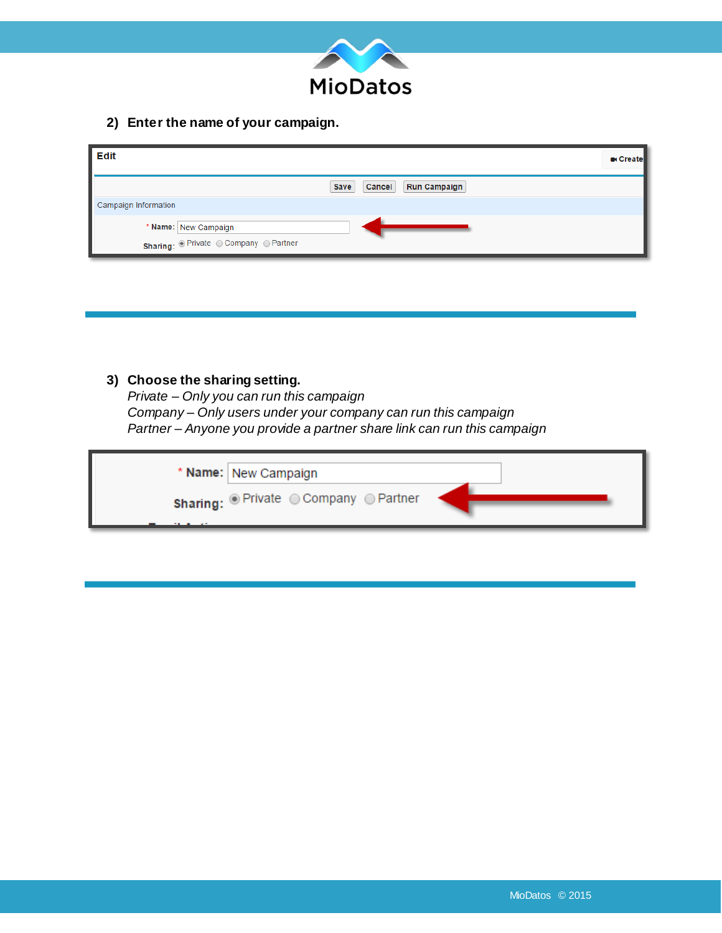

**2) Enter the name of your campaign.**

| <b>Edit</b>                                                       | <b>B</b> Create                              |
|-------------------------------------------------------------------|----------------------------------------------|
|                                                                   | <b>Cancel</b><br><b>Run Campaign</b><br>Save |
| Campaign Information                                              |                                              |
| * Name: New Campaign<br>Sharing: <i>Private Company C Partner</i> |                                              |

## **3) Choose the sharing setting.**

*Private – Only you can run this campaign Company – Only users under your company can run this campaign Partner – Anyone you provide a partner share link can run this campaign* 

| * Name: New Campaign                                            |  |
|-----------------------------------------------------------------|--|
| <b>Sharing:</b> $\odot$ Private $\odot$ Company $\odot$ Partner |  |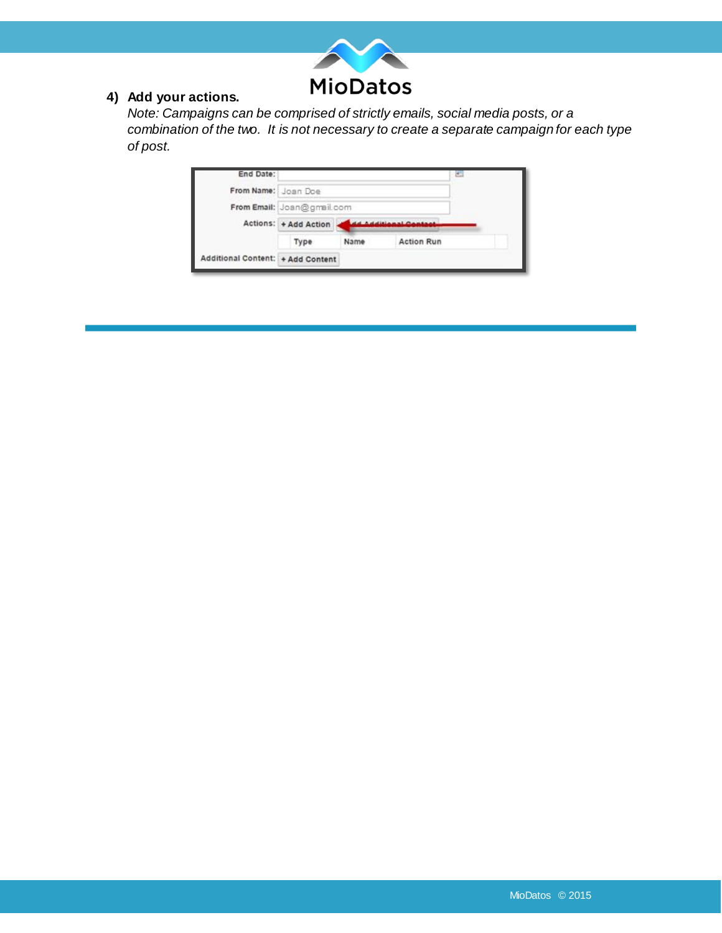

## **4) Add your actions.**

*Note: Campaigns can be comprised of strictly emails, social media posts, or a combination of the two. It is not necessary to create a separate campaign for each type of post.* 

| End Date:                         |                            |                     |                   | Ξ |
|-----------------------------------|----------------------------|---------------------|-------------------|---|
| From Name: Joan Doe               |                            |                     |                   |   |
|                                   | From Email: Joan@gmail.com |                     |                   |   |
|                                   | Actions: + Add Action      | d Additional Gentae |                   |   |
|                                   | Type                       | Name                | <b>Action Run</b> |   |
| Additional Content: + Add Content |                            |                     |                   |   |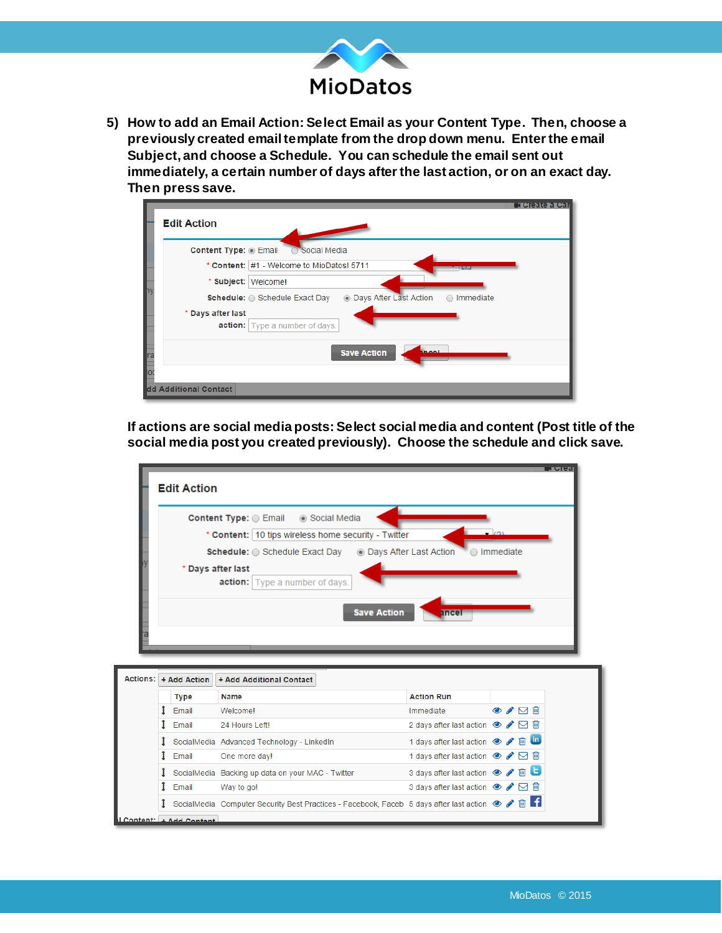

**5) How to add an Email Action: Select Email as your Content Type. Then, choose a previously created email template from the drop down menu. Enter the email Subject, and choose a Schedule. You can schedule the email sent out immediately, a certain number of days after the last action, or on an exact day. Then press save.** 

| <b>Edit Action</b>                                                                    | <b>TORAGE LOA</b> |
|---------------------------------------------------------------------------------------|-------------------|
| Content Type: @ Email<br>Social Media                                                 |                   |
| * Content: #1 - Welcome to MioDatos! 5711                                             |                   |
| * Subject:<br>Welcome!                                                                |                   |
| ľ<br>• Days After Last Action<br>Schedule: Schedule Exact Day<br>$\bigcirc$ Immediate |                   |
| * Days after last                                                                     |                   |
| action: Type a number of days.                                                        |                   |
| <b>Save Action</b>                                                                    |                   |
| ra<br>Ta<br>Iod                                                                       |                   |
|                                                                                       |                   |
| dd Additional Contact                                                                 |                   |

**If actions are social media posts: Select social media and content (Post title of the social media post you created previously). Choose the schedule and click save.** 

|                   | Content Type: Email @ Social Media                    |                                                                                   |                      |
|-------------------|-------------------------------------------------------|-----------------------------------------------------------------------------------|----------------------|
|                   | * Content:   10 tips wireless home security - Twitter |                                                                                   |                      |
|                   |                                                       | <b>Schedule:</b> Schedule Exact Day<br><b>Conservation</b> Days After Last Action | $\bigcirc$ Immediate |
| * Days after last |                                                       |                                                                                   |                      |
|                   | <b>action:</b> Type a number of days.                 |                                                                                   |                      |
|                   |                                                       |                                                                                   |                      |

|  |                        | Actions: + Add Action   + Add Additional Contact                                                                   |                                                        |  |      |
|--|------------------------|--------------------------------------------------------------------------------------------------------------------|--------------------------------------------------------|--|------|
|  | <b>Type</b>            | Name                                                                                                               | <b>Action Run</b>                                      |  |      |
|  | Email                  | Welcomel                                                                                                           | Immediate                                              |  | ⊙〃∇⋒ |
|  | Email                  | 24 Hours Leftl                                                                                                     | 2 days after last action $\bullet \bullet \Box$ in     |  |      |
|  |                        | SocialMedia Advanced Technology - LinkedIn                                                                         | 1 days after last action ● / 自由                        |  |      |
|  | Email                  | One more day!                                                                                                      | 1 days after last action $\circledast \bullet \Box$ in |  |      |
|  |                        | SocialMedia Backing up data on your MAC - Twitter                                                                  | 3 days after last action<br><b>•</b> ● ● ■             |  |      |
|  | Email                  | Way to go!                                                                                                         | 3 days after last action $\bullet \bullet \Box$ in     |  |      |
|  |                        | SocialMedia Computer Security Best Practices - Facebook, Faceb 5 days after last action $\circledast \bullet \Box$ |                                                        |  |      |
|  | Content: + Add Content |                                                                                                                    |                                                        |  |      |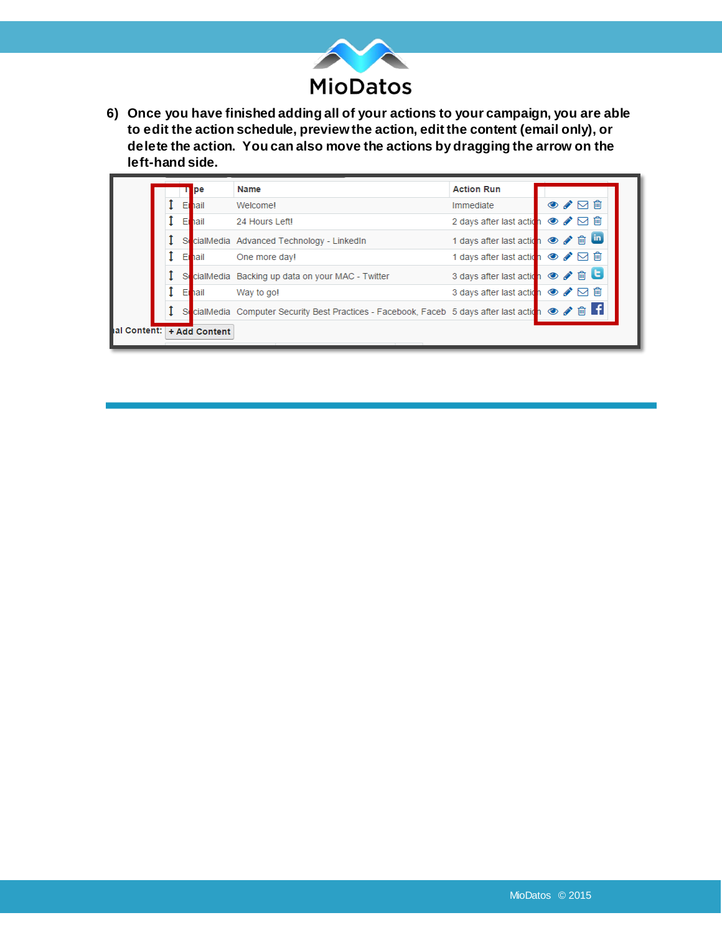

**6) Once you have finished adding all of your actions to your campaign, you are able to edit the action schedule, preview the action, edit the content (email only), or delete the action. You can also move the actions by dragging the arrow on the left-hand side.** 

|  |              | pe                         | <b>Name</b>                                                                                   | <b>Action Run</b>                |                                    |
|--|--------------|----------------------------|-----------------------------------------------------------------------------------------------|----------------------------------|------------------------------------|
|  | E            | hail                       | Welcomel                                                                                      | Immediate                        | $\circ \bullet \boxdot \mathbb{m}$ |
|  | E            | hail                       | 24 Hours Left                                                                                 | 2 days after last action ● / 回 自 |                                    |
|  | S.           |                            | cialMedia Advanced Technology - LinkedIn                                                      | 1 days after last action ● / m m |                                    |
|  | E            | hail                       | One more day!                                                                                 | 1 days after last action ● / □ 回 |                                    |
|  | S(           |                            | cialMedia Backing up data on your MAC - Twitter                                               | 3 days after last action         | $\circ$ / $\Box$                   |
|  | E            | hail                       | Way to go!                                                                                    | 3 days after last action ● / ⊠ m |                                    |
|  | <sub>S</sub> |                            | cialMedia Computer Security Best Practices - Facebook, Faceb 5 days after last action ● ♪ 面 【 |                                  |                                    |
|  |              | hal Content: + Add Content |                                                                                               |                                  |                                    |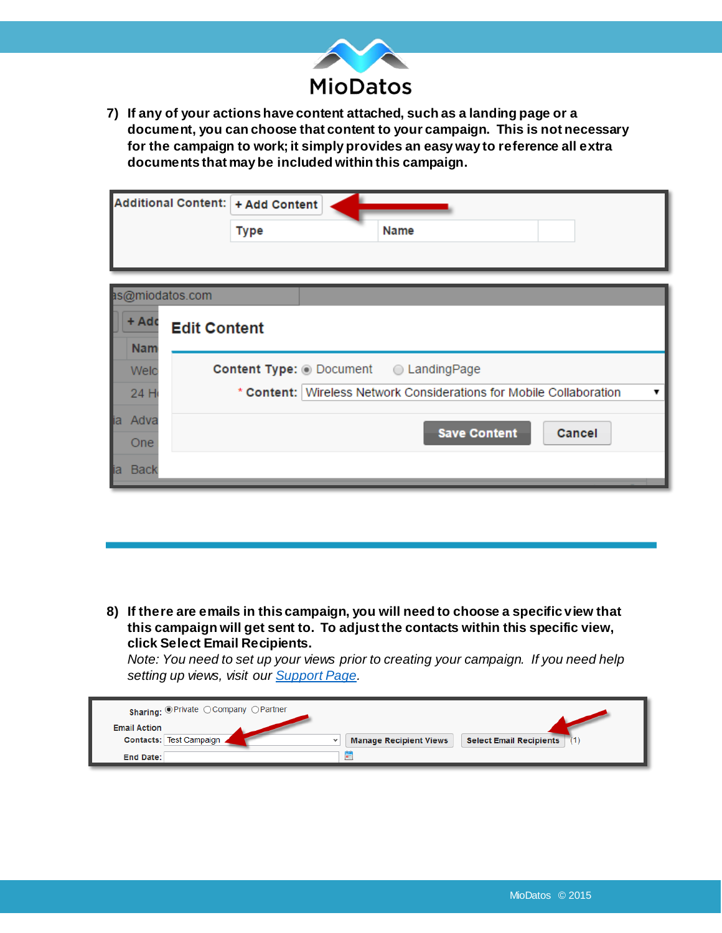

**7) If any of your actions have content attached, such as a landing page or a document, you can choose that content to your campaign. This is not necessary for the campaign to work; it simply provides an easy way to reference all extra documents that may be included within this campaign.** 

|      |             |                     | Additional Content:   + Add Content            |      |                     |                                                                       |
|------|-------------|---------------------|------------------------------------------------|------|---------------------|-----------------------------------------------------------------------|
|      |             |                     | <b>Type</b>                                    | Name |                     |                                                                       |
|      |             |                     |                                                |      |                     |                                                                       |
|      |             | as@miodatos.com     |                                                |      |                     |                                                                       |
|      | + Adc       | <b>Edit Content</b> |                                                |      |                     |                                                                       |
|      | <b>Nam</b>  |                     |                                                |      |                     |                                                                       |
|      | Welc        |                     | <b>Content Type: O Document C Landing Page</b> |      |                     |                                                                       |
|      | 24 H        |                     |                                                |      |                     | * Content:   Wireless Network Considerations for Mobile Collaboration |
|      | ia Adva     |                     |                                                |      |                     |                                                                       |
|      | One         |                     |                                                |      | <b>Save Content</b> | Cancel                                                                |
| lia. | <b>Back</b> |                     |                                                |      |                     |                                                                       |

**8) If there are emails in this campaign, you will need to choose a specific view that this campaign will get sent to. To adjust the contacts within this specific view, click Select Email Recipients.** 

*Note: You need to set up your views prior to creating your campaign. If you need help setting up views, visit our [Support Page.](https://miodatos.bz/Support.aspx)*

| Sharing: OPrivate OCompany OPartner            |                                                                 |
|------------------------------------------------|-----------------------------------------------------------------|
| <b>Email Action</b><br>Contacts: Test Campaign | <b>Select Email Recipients</b><br><b>Manage Recipient Views</b> |
| <b>End Date:</b>                               | E                                                               |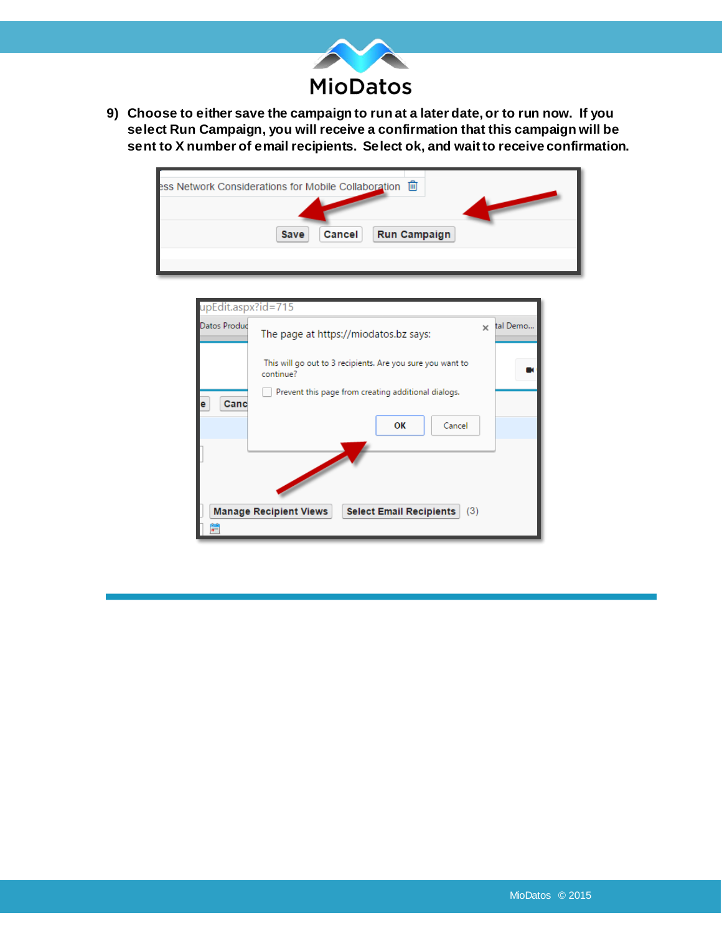

**9) Choose to either save the campaign to run at a later date, or to run now. If you select Run Campaign, you will receive a confirmation that this campaign will be sent to X number of email recipients. Select ok, and wait to receive confirmation.**

| 圙<br>ess Network Considerations for Mobile Collaboration |
|----------------------------------------------------------|
| <b>Run Campaign</b><br>Cancel<br>Save                    |
|                                                          |

| upEdit.aspx?id=715                                                     |                                                                         |          |
|------------------------------------------------------------------------|-------------------------------------------------------------------------|----------|
| Datos Produc                                                           | $\times$<br>The page at https://miodatos.bz says:                       | tal Demo |
|                                                                        | This will go out to 3 recipients. Are you sure you want to<br>continue? |          |
| Canc                                                                   | Prevent this page from creating additional dialogs.<br>OK<br>Cancel     |          |
|                                                                        |                                                                         |          |
| (3)<br><b>Manage Recipient Views</b><br><b>Select Email Recipients</b> |                                                                         |          |